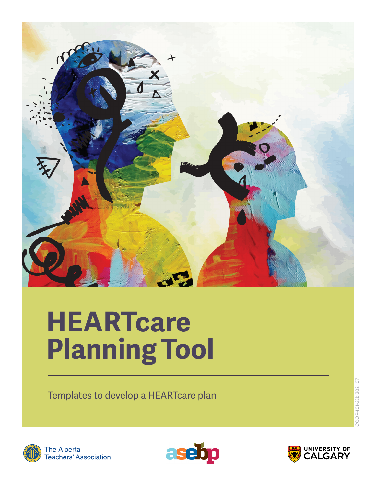

Templates to develop a HEARTcare plan





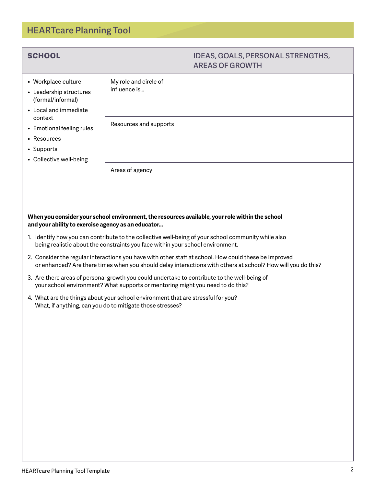| HEARTcare Planning Tool Template |  | ີ |
|----------------------------------|--|---|
|                                  |  |   |

| <b>SCHOOL</b>                                                                                                                                                     |                                                                                                                                                                                | <b>IDEAS, GOALS, PERSONAL STRENGTHS,</b><br><b>AREAS OF GROWTH</b>                                                                                                                                                    |
|-------------------------------------------------------------------------------------------------------------------------------------------------------------------|--------------------------------------------------------------------------------------------------------------------------------------------------------------------------------|-----------------------------------------------------------------------------------------------------------------------------------------------------------------------------------------------------------------------|
| • Workplace culture<br>• Leadership structures<br>(formal/informal)<br>• Local and immediate<br>context<br>• Emotional feeling rules<br>• Resources<br>• Supports | My role and circle of<br>influence is<br>Resources and supports                                                                                                                |                                                                                                                                                                                                                       |
|                                                                                                                                                                   |                                                                                                                                                                                |                                                                                                                                                                                                                       |
| • Collective well-being                                                                                                                                           | Areas of agency                                                                                                                                                                |                                                                                                                                                                                                                       |
| and your ability to exercise agency as an educator                                                                                                                |                                                                                                                                                                                | When you consider your school environment, the resources available, your role within the school                                                                                                                       |
|                                                                                                                                                                   | being realistic about the constraints you face within your school environment.                                                                                                 | 1. Identify how you can contribute to the collective well-being of your school community while also                                                                                                                   |
|                                                                                                                                                                   |                                                                                                                                                                                | 2. Consider the regular interactions you have with other staff at school. How could these be improved<br>or enhanced? Are there times when you should delay interactions with others at school? How will you do this? |
|                                                                                                                                                                   | 3. Are there areas of personal growth you could undertake to contribute to the well-being of<br>your school environment? What supports or mentoring might you need to do this? |                                                                                                                                                                                                                       |
|                                                                                                                                                                   | 4. What are the things about your school environment that are stressful for you?<br>What, if anything, can you do to mitigate those stresses?                                  |                                                                                                                                                                                                                       |
|                                                                                                                                                                   |                                                                                                                                                                                |                                                                                                                                                                                                                       |
|                                                                                                                                                                   |                                                                                                                                                                                |                                                                                                                                                                                                                       |
|                                                                                                                                                                   |                                                                                                                                                                                |                                                                                                                                                                                                                       |
|                                                                                                                                                                   |                                                                                                                                                                                |                                                                                                                                                                                                                       |
|                                                                                                                                                                   |                                                                                                                                                                                |                                                                                                                                                                                                                       |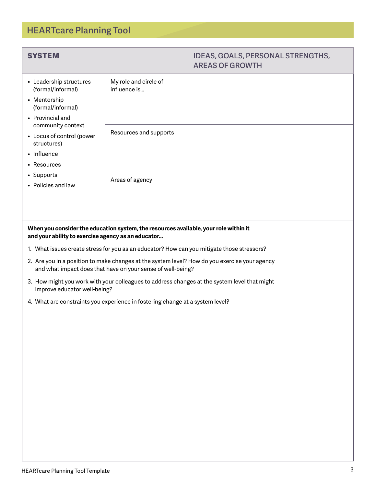| <b>SYSTEM</b>                                                                                                                                                                |                                                                                      | <b>IDEAS, GOALS, PERSONAL STRENGTHS,</b><br><b>AREAS OF GROWTH</b> |
|------------------------------------------------------------------------------------------------------------------------------------------------------------------------------|--------------------------------------------------------------------------------------|--------------------------------------------------------------------|
| • Leadership structures<br>(formal/informal)<br>• Mentorship<br>(formal/informal)<br>• Provincial and                                                                        | My role and circle of<br>influence is                                                |                                                                    |
| community context<br>Resources and supports<br>• Locus of control (power<br>structures)<br>• Influence<br>• Resources<br>• Supports<br>Areas of agency<br>• Policies and law |                                                                                      |                                                                    |
|                                                                                                                                                                              |                                                                                      |                                                                    |
| and your ability to exercise agency as an educator                                                                                                                           | When you consider the education system, the resources available, your role within it |                                                                    |

- 1. What issues create stress for you as an educator? How can you mitigate those stressors?
- 2. Are you in a position to make changes at the system level? How do you exercise your agency and what impact does that have on your sense of well-being?
- 3. How might you work with your colleagues to address changes at the system level that might improve educator well-being?
- 4. What are constraints you experience in fostering change at a system level?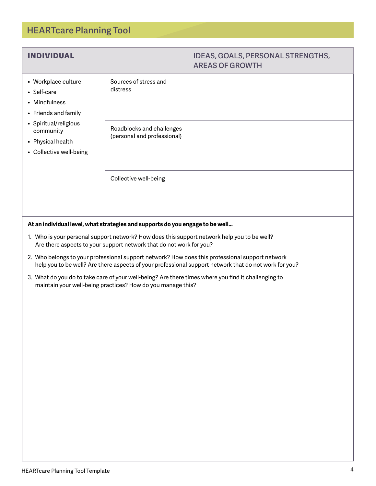| <b>INDIVIDUAL</b>                                                                                                                                                             |                                                          | IDEAS, GOALS, PERSONAL STRENGTHS,<br><b>AREAS OF GROWTH</b> |
|-------------------------------------------------------------------------------------------------------------------------------------------------------------------------------|----------------------------------------------------------|-------------------------------------------------------------|
| • Workplace culture<br>distress<br>• Self-care<br>• Mindfulness<br>• Friends and family<br>• Spiritual/religious<br>community<br>• Physical health<br>• Collective well-being | Sources of stress and                                    |                                                             |
|                                                                                                                                                                               | Roadblocks and challenges<br>(personal and professional) |                                                             |
|                                                                                                                                                                               | Collective well-being                                    |                                                             |

#### **At an individual level, what strategies and supports do you engage to be well…**

- 1. Who is your personal support network? How does this support network help you to be well? Are there aspects to your support network that do not work for you?
- 2. Who belongs to your professional support network? How does this professional support network help you to be well? Are there aspects of your professional support network that do not work for you?
- 3. What do you do to take care of your well-being? Are there times where you find it challenging to maintain your well-being practices? How do you manage this?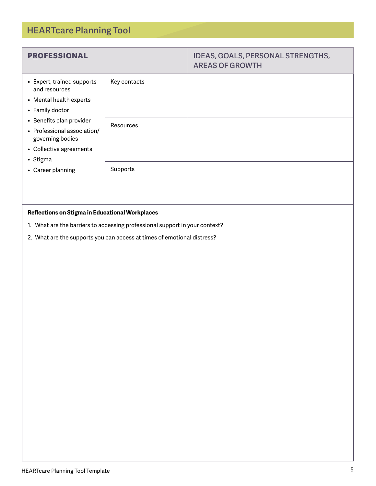| <b>PROFESSIONAL</b>                                                                                                |                  | IDEAS, GOALS, PERSONAL STRENGTHS,<br><b>AREAS OF GROWTH</b> |
|--------------------------------------------------------------------------------------------------------------------|------------------|-------------------------------------------------------------|
| • Expert, trained supports<br>and resources<br>• Mental health experts<br>• Family doctor                          | Key contacts     |                                                             |
| • Benefits plan provider<br>• Professional association/<br>governing bodies<br>• Collective agreements<br>• Stigma | <b>Resources</b> |                                                             |
| • Career planning                                                                                                  | Supports         |                                                             |
|                                                                                                                    |                  |                                                             |

## **Reflections on Stigma in Educational Workplaces**

- 1. What are the barriers to accessing professional support in your context?
- 2. What are the supports you can access at times of emotional distress?